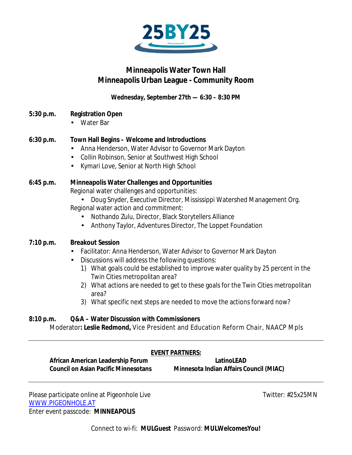

# **Minneapolis Water Town Hall Minneapolis Urban League - Community Room**

**Wednesday, September 27th — 6:30 – 8:30 PM**

- **5:30 p.m. Registration Open**
	- Water Bar

# **6:30 p.m. Town Hall Begins – Welcome and Introductions**

- Anna Henderson, Water Advisor to Governor Mark Dayton
- Collin Robinson, Senior at Southwest High School
- Kymari Love, Senior at North High School

# **6:45 p.m. Minneapolis Water Challenges and Opportunities**

Regional water challenges and opportunities:

- Doug Snyder, Executive Director, Mississippi Watershed Management Org. Regional water action and commitment:
	- ä. Nothando Zulu, Director, Black Storytellers Alliance
	- Anthony Taylor, Adventures Director, The Loppet Foundation  $\mathbf{r}^{\prime}$

# **7:10 p.m. Breakout Session**

- Facilitator: Anna Henderson, Water Advisor to Governor Mark Dayton
- Discussions will address the following questions:
	- 1) What goals could be established to improve water quality by 25 percent in the Twin Cities metropolitan area?
	- 2) What actions are needed to get to these goals for the Twin Cities metropolitan area?
	- 3) What specific next steps are needed to move the actions forward now?

#### **8:10 p.m. Q&A – Water Discussion with Commissioners**

Moderator**: Leslie Redmond,** Vice President and Education Reform Chair, NAACP Mpls

# **EVENT PARTNERS:**

**African American Leadership Forum LatinoLEAD**

**Council on Asian Pacific Minnesotans Minnesota Indian Affairs Council (MIAC)**

Please participate online at Pigeonhole Live Twitter: #25x25MN [WWW.PIGEONHOLE.AT](http://www.pigeonhole.at/) Enter event passcode: **MINNEAPOLIS**